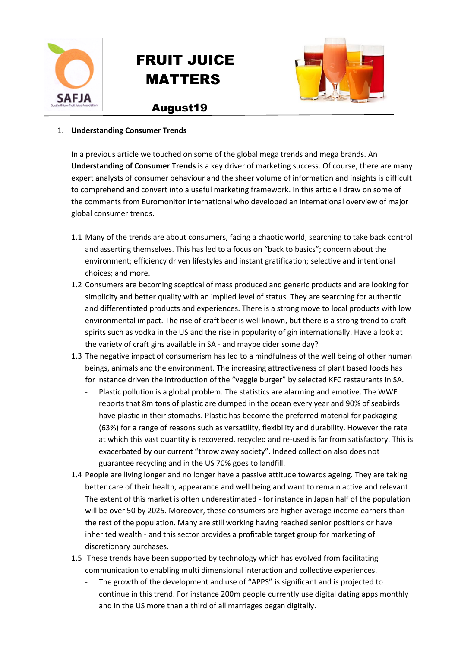

# FRUIT JUICE MATTERS



## August19

#### 1. **Understanding Consumer Trends**

In a previous article we touched on some of the global mega trends and mega brands. An **Understanding of Consumer Trends** is a key driver of marketing success. Of course, there are many expert analysts of consumer behaviour and the sheer volume of information and insights is difficult to comprehend and convert into a useful marketing framework. In this article I draw on some of the comments from Euromonitor International who developed an international overview of major global consumer trends.

- 1.1 Many of the trends are about consumers, facing a chaotic world, searching to take back control and asserting themselves. This has led to a focus on "back to basics"; concern about the environment; efficiency driven lifestyles and instant gratification; selective and intentional choices; and more.
- 1.2 Consumers are becoming sceptical of mass produced and generic products and are looking for simplicity and better quality with an implied level of status. They are searching for authentic and differentiated products and experiences. There is a strong move to local products with low environmental impact. The rise of craft beer is well known, but there is a strong trend to craft spirits such as vodka in the US and the rise in popularity of gin internationally. Have a look at the variety of craft gins available in SA - and maybe cider some day?
- 1.3 The negative impact of consumerism has led to a mindfulness of the well being of other human beings, animals and the environment. The increasing attractiveness of plant based foods has for instance driven the introduction of the "veggie burger" by selected KFC restaurants in SA.
	- Plastic pollution is a global problem. The statistics are alarming and emotive. The WWF reports that 8m tons of plastic are dumped in the ocean every year and 90% of seabirds have plastic in their stomachs. Plastic has become the preferred material for packaging (63%) for a range of reasons such as versatility, flexibility and durability. However the rate at which this vast quantity is recovered, recycled and re-used is far from satisfactory. This is exacerbated by our current "throw away society". Indeed collection also does not guarantee recycling and in the US 70% goes to landfill.
- 1.4 People are living longer and no longer have a passive attitude towards ageing. They are taking better care of their health, appearance and well being and want to remain active and relevant. The extent of this market is often underestimated - for instance in Japan half of the population will be over 50 by 2025. Moreover, these consumers are higher average income earners than the rest of the population. Many are still working having reached senior positions or have inherited wealth - and this sector provides a profitable target group for marketing of discretionary purchases.
- 1.5 These trends have been supported by technology which has evolved from facilitating communication to enabling multi dimensional interaction and collective experiences.
	- The growth of the development and use of "APPS" is significant and is projected to continue in this trend. For instance 200m people currently use digital dating apps monthly and in the US more than a third of all marriages began digitally.